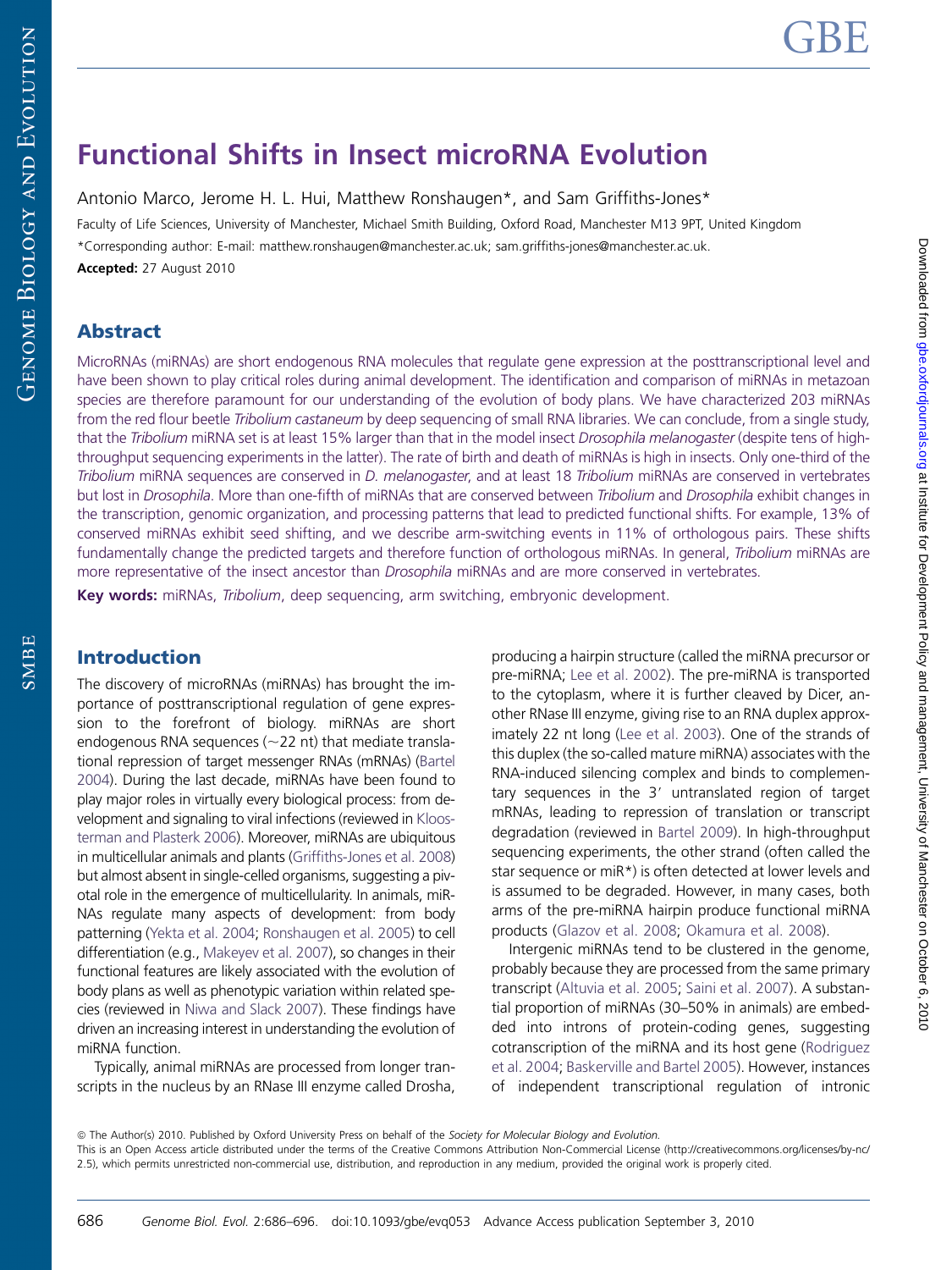SMBE

# Functional Shifts in Insect microRNA Evolution

Antonio Marco, Jerome H. L. Hui, Matthew Ronshaugen\*, and Sam Griffiths-Jones\*

Faculty of Life Sciences, University of Manchester, Michael Smith Building, Oxford Road, Manchester M13 9PT, United Kingdom \*Corresponding author: E-mail: matthew.ronshaugen@manchester.ac.uk; sam.griffiths-jones@manchester.ac.uk. Accepted: 27 August 2010

# Abstract

MicroRNAs (miRNAs) are short endogenous RNA molecules that regulate gene expression at the posttranscriptional level and have been shown to play critical roles during animal development. The identification and comparison of miRNAs in metazoan species are therefore paramount for our understanding of the evolution of body plans. We have characterized 203 miRNAs from the red flour beetle Tribolium castaneum by deep sequencing of small RNA libraries. We can conclude, from a single study, that the Tribolium miRNA set is at least 15% larger than that in the model insect Drosophila melanogaster (despite tens of highthroughput sequencing experiments in the latter). The rate of birth and death of miRNAs is high in insects. Only one-third of the Tribolium miRNA sequences are conserved in D. melanogaster, and at least 18 Tribolium miRNAs are conserved in vertebrates but lost in Drosophila. More than one-fifth of miRNAs that are conserved between Tribolium and Drosophila exhibit changes in the transcription, genomic organization, and processing patterns that lead to predicted functional shifts. For example, 13% of conserved miRNAs exhibit seed shifting, and we describe arm-switching events in 11% of orthologous pairs. These shifts fundamentally change the predicted targets and therefore function of orthologous miRNAs. In general, Tribolium miRNAs are more representative of the insect ancestor than *Drosophila* miRNAs and are more conserved in vertebrates.

Key words: miRNAs, Tribolium, deep sequencing, arm switching, embryonic development.

## Introduction

The discovery of microRNAs (miRNAs) has brought the importance of posttranscriptional regulation of gene expression to the forefront of biology. miRNAs are short endogenous RNA sequences ( $\sim$ 22 nt) that mediate translational repression of target messenger RNAs (mRNAs) ([Bartel](#page-9-0) [2004](#page-9-0)). During the last decade, miRNAs have been found to play major roles in virtually every biological process: from development and signaling to viral infections (reviewed in [Kloos](#page-9-0)[terman and Plasterk 2006\)](#page-9-0). Moreover, miRNAs are ubiquitous in multicellular animals and plants [\(Griffiths-Jones et al. 2008](#page-9-0)) but almost absent in single-celled organisms, suggesting a pivotal role in the emergence of multicellularity. In animals, miR-NAs regulate many aspects of development: from body patterning ([Yekta et al. 2004](#page-10-0); [Ronshaugen et al. 2005\)](#page-9-0) to cell differentiation (e.g., [Makeyev et al. 2007\)](#page-9-0), so changes in their functional features are likely associated with the evolution of body plans as well as phenotypic variation within related species (reviewed in [Niwa and Slack 2007](#page-9-0)). These findings have driven an increasing interest in understanding the evolution of miRNA function.

Typically, animal miRNAs are processed from longer transcripts in the nucleus by an RNase III enzyme called Drosha,

producing a hairpin structure (called the miRNA precursor or pre-miRNA; [Lee et al. 2002](#page-9-0)). The pre-miRNA is transported to the cytoplasm, where it is further cleaved by Dicer, another RNase III enzyme, giving rise to an RNA duplex approximately 22 nt long ([Lee et al. 2003\)](#page-9-0). One of the strands of this duplex (the so-called mature miRNA) associates with the RNA-induced silencing complex and binds to complementary sequences in the 3' untranslated region of target mRNAs, leading to repression of translation or transcript degradation (reviewed in [Bartel 2009\)](#page-9-0). In high-throughput sequencing experiments, the other strand (often called the star sequence or miR\*) is often detected at lower levels and is assumed to be degraded. However, in many cases, both arms of the pre-miRNA hairpin produce functional miRNA products [\(Glazov et al. 2008](#page-9-0); [Okamura et al. 2008](#page-9-0)).

Intergenic miRNAs tend to be clustered in the genome, probably because they are processed from the same primary transcript [\(Altuvia et al. 2005;](#page-9-0) [Saini et al. 2007\)](#page-9-0). A substantial proportion of miRNAs (30–50% in animals) are embedded into introns of protein-coding genes, suggesting cotranscription of the miRNA and its host gene ([Rodriguez](#page-9-0) [et al. 2004;](#page-9-0) [Baskerville and Bartel 2005\)](#page-9-0). However, instances of independent transcriptional regulation of intronic

<sup>©</sup> The Author(s) 2010. Published by Oxford University Press on behalf of the Society for Molecular Biology and Evolution. This is an Open Access article distributed under the terms of the Creative Commons Attribution Non-Commercial License (http://creativecommons.org/licenses/by-nc/ 2.5), which permits unrestricted non-commercial use, distribution, and reproduction in any medium, provided the original work is properly cited.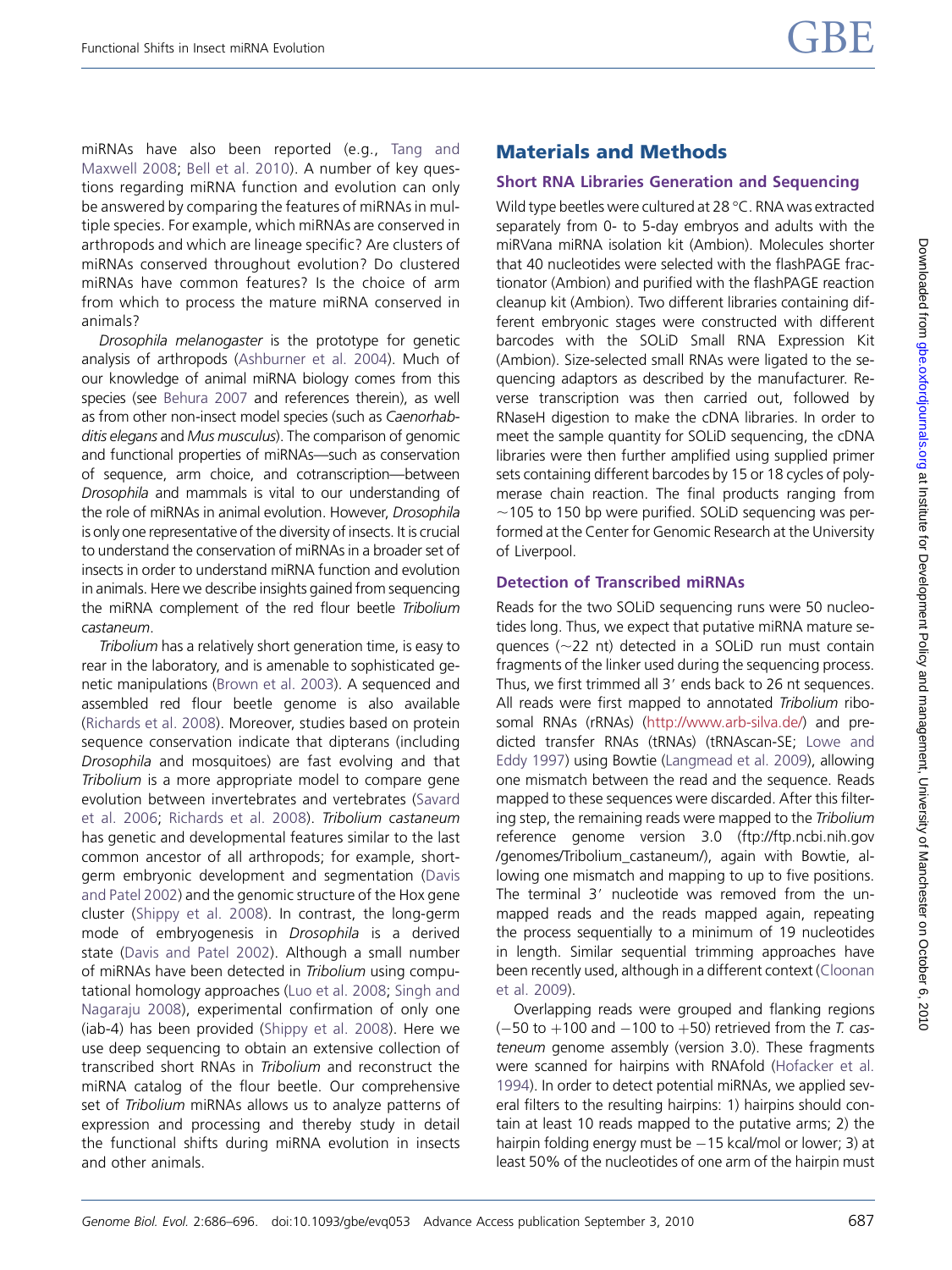miRNAs have also been reported (e.g., [Tang and](#page-10-0) [Maxwell 2008;](#page-10-0) [Bell et al. 2010](#page-9-0)). A number of key questions regarding miRNA function and evolution can only be answered by comparing the features of miRNAs in multiple species. For example, which miRNAs are conserved in arthropods and which are lineage specific? Are clusters of miRNAs conserved throughout evolution? Do clustered miRNAs have common features? Is the choice of arm from which to process the mature miRNA conserved in animals?

Drosophila melanogaster is the prototype for genetic analysis of arthropods [\(Ashburner et al. 2004](#page-9-0)). Much of our knowledge of animal miRNA biology comes from this species (see [Behura 2007](#page-9-0) and references therein), as well as from other non-insect model species (such as Caenorhabditis elegans and Mus musculus). The comparison of genomic and functional properties of miRNAs—such as conservation of sequence, arm choice, and cotranscription—between Drosophila and mammals is vital to our understanding of the role of miRNAs in animal evolution. However, Drosophila is only one representative of the diversity of insects. It is crucial to understand the conservation of miRNAs in a broader set of insects in order to understand miRNA function and evolution in animals. Here we describe insights gained from sequencing the miRNA complement of the red flour beetle Tribolium castaneum.

Tribolium has a relatively short generation time, is easy to rear in the laboratory, and is amenable to sophisticated genetic manipulations ([Brown et al. 2003\)](#page-9-0). A sequenced and assembled red flour beetle genome is also available ([Richards et al. 2008](#page-9-0)). Moreover, studies based on protein sequence conservation indicate that dipterans (including Drosophila and mosquitoes) are fast evolving and that Tribolium is a more appropriate model to compare gene evolution between invertebrates and vertebrates ([Savard](#page-9-0) [et al. 2006;](#page-9-0) [Richards et al. 2008\)](#page-9-0). Tribolium castaneum has genetic and developmental features similar to the last common ancestor of all arthropods; for example, shortgerm embryonic development and segmentation [\(Davis](#page-9-0) [and Patel 2002](#page-9-0)) and the genomic structure of the Hox gene cluster [\(Shippy et al. 2008\)](#page-9-0). In contrast, the long-germ mode of embryogenesis in Drosophila is a derived state ([Davis and Patel 2002\)](#page-9-0). Although a small number of miRNAs have been detected in Tribolium using computational homology approaches [\(Luo et al. 2008;](#page-9-0) [Singh and](#page-9-0) [Nagaraju 2008\)](#page-9-0), experimental confirmation of only one (iab-4) has been provided [\(Shippy et al. 2008](#page-9-0)). Here we use deep sequencing to obtain an extensive collection of transcribed short RNAs in Tribolium and reconstruct the miRNA catalog of the flour beetle. Our comprehensive set of Tribolium miRNAs allows us to analyze patterns of expression and processing and thereby study in detail the functional shifts during miRNA evolution in insects and other animals.

# Materials and Methods

#### Short RNA Libraries Generation and Sequencing

Wild type beetles were cultured at 28 °C. RNA was extracted separately from 0- to 5-day embryos and adults with the miRVana miRNA isolation kit (Ambion). Molecules shorter that 40 nucleotides were selected with the flashPAGE fractionator (Ambion) and purified with the flashPAGE reaction cleanup kit (Ambion). Two different libraries containing different embryonic stages were constructed with different barcodes with the SOLiD Small RNA Expression Kit (Ambion). Size-selected small RNAs were ligated to the sequencing adaptors as described by the manufacturer. Reverse transcription was then carried out, followed by RNaseH digestion to make the cDNA libraries. In order to meet the sample quantity for SOLiD sequencing, the cDNA libraries were then further amplified using supplied primer sets containing different barcodes by 15 or 18 cycles of polymerase chain reaction. The final products ranging from  $\sim$ 105 to 150 bp were purified. SOLiD sequencing was performed at the Center for Genomic Research at the University of Liverpool.

### Detection of Transcribed miRNAs

Reads for the two SOLiD sequencing runs were 50 nucleotides long. Thus, we expect that putative miRNA mature sequences ( $\sim$ 22 nt) detected in a SOLiD run must contain fragments of the linker used during the sequencing process. Thus, we first trimmed all 3' ends back to 26 nt sequences. All reads were first mapped to annotated Tribolium ribosomal RNAs (rRNAs) (<http://www.arb-silva.de/>) and predicted transfer RNAs (tRNAs) (tRNAscan-SE; [Lowe and](#page-9-0) [Eddy 1997](#page-9-0)) using Bowtie [\(Langmead et al. 2009\)](#page-9-0), allowing one mismatch between the read and the sequence. Reads mapped to these sequences were discarded. After this filtering step, the remaining reads were mapped to the Tribolium reference genome version 3.0 (ftp://ftp.ncbi.nih.gov /genomes/Tribolium\_castaneum/), again with Bowtie, allowing one mismatch and mapping to up to five positions. The terminal 3' nucleotide was removed from the unmapped reads and the reads mapped again, repeating the process sequentially to a minimum of 19 nucleotides in length. Similar sequential trimming approaches have been recently used, although in a different context [\(Cloonan](#page-9-0) [et al. 2009\)](#page-9-0).

Overlapping reads were grouped and flanking regions  $(-50$  to  $+100$  and  $-100$  to  $+50$ ) retrieved from the T. casteneum genome assembly (version 3.0). These fragments were scanned for hairpins with RNAfold [\(Hofacker et al.](#page-9-0) [1994](#page-9-0)). In order to detect potential miRNAs, we applied several filters to the resulting hairpins: 1) hairpins should contain at least 10 reads mapped to the putative arms; 2) the hairpin folding energy must be  $-15$  kcal/mol or lower; 3) at least 50% of the nucleotides of one arm of the hairpin must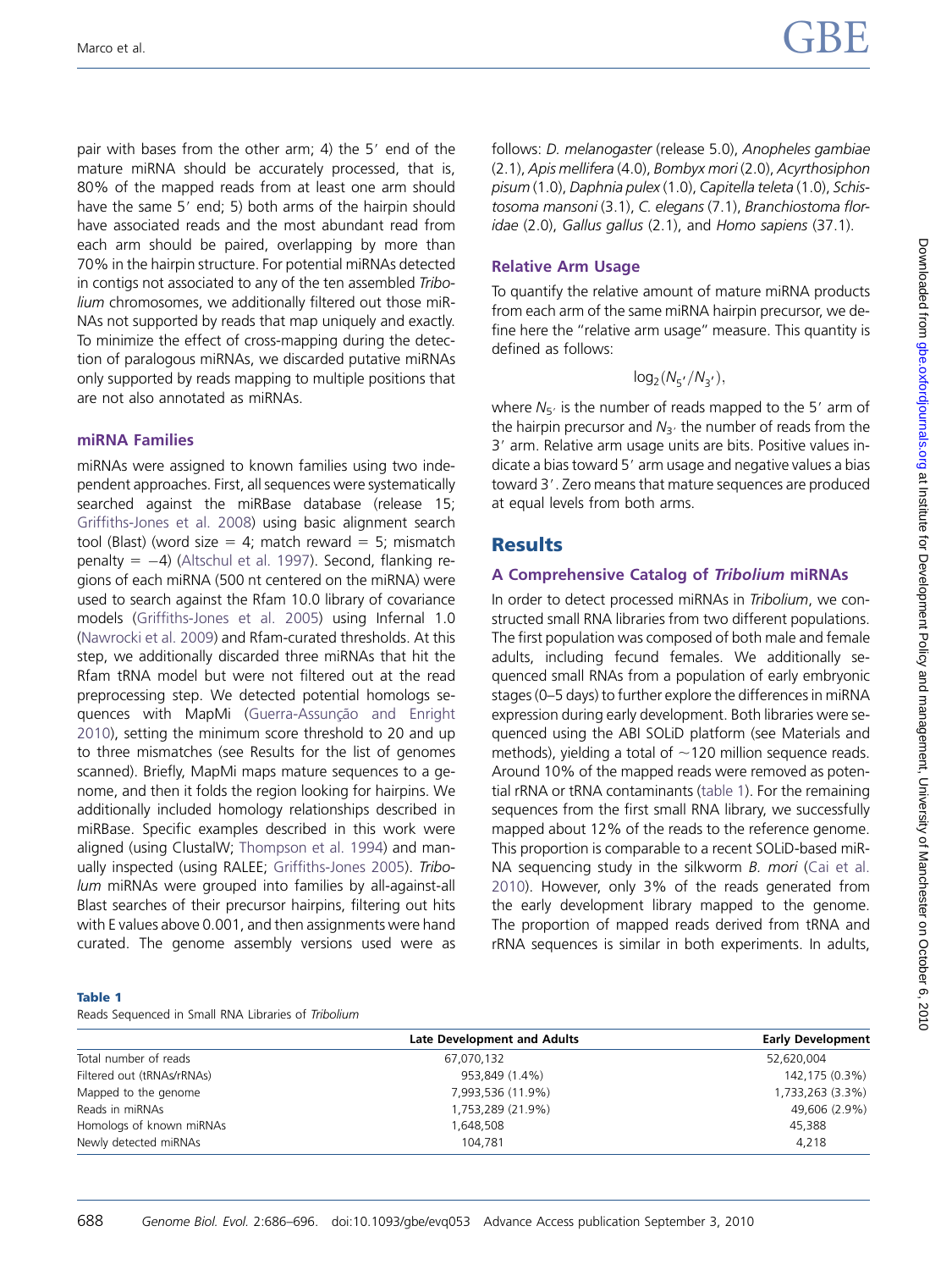<span id="page-2-0"></span>pair with bases from the other arm; 4) the  $5'$  end of the mature miRNA should be accurately processed, that is, 80% of the mapped reads from at least one arm should have the same 5' end; 5) both arms of the hairpin should have associated reads and the most abundant read from each arm should be paired, overlapping by more than 70% in the hairpin structure. For potential miRNAs detected in contigs not associated to any of the ten assembled Tribolium chromosomes, we additionally filtered out those miR-NAs not supported by reads that map uniquely and exactly. To minimize the effect of cross-mapping during the detection of paralogous miRNAs, we discarded putative miRNAs only supported by reads mapping to multiple positions that are not also annotated as miRNAs.

#### miRNA Families

miRNAs were assigned to known families using two independent approaches. First, all sequences were systematically searched against the miRBase database (release 15; [Griffiths-Jones et al. 2008](#page-9-0)) using basic alignment search tool (Blast) (word size  $= 4$ ; match reward  $= 5$ ; mismatch penalty  $= -4$ ) [\(Altschul et al. 1997\)](#page-9-0). Second, flanking regions of each miRNA (500 nt centered on the miRNA) were used to search against the Rfam 10.0 library of covariance models ([Griffiths-Jones et al. 2005](#page-9-0)) using Infernal 1.0 ([Nawrocki et al. 2009\)](#page-9-0) and Rfam-curated thresholds. At this step, we additionally discarded three miRNAs that hit the Rfam tRNA model but were not filtered out at the read preprocessing step. We detected potential homologs sequences with MapMi (Guerra-Assunção and Enright [2010](#page-9-0)), setting the minimum score threshold to 20 and up to three mismatches (see Results for the list of genomes scanned). Briefly, MapMi maps mature sequences to a genome, and then it folds the region looking for hairpins. We additionally included homology relationships described in miRBase. Specific examples described in this work were aligned (using ClustalW; [Thompson et al. 1994\)](#page-10-0) and manually inspected (using RALEE; [Griffiths-Jones 2005](#page-9-0)). Tribolum miRNAs were grouped into families by all-against-all Blast searches of their precursor hairpins, filtering out hits with E values above 0.001, and then assignments were hand curated. The genome assembly versions used were as

#### follows: D. melanogaster (release 5.0), Anopheles gambiae (2.1), Apis mellifera (4.0), Bombyx mori (2.0), Acyrthosiphon pisum (1.0), Daphnia pulex (1.0), Capitella teleta (1.0), Schistosoma mansoni (3.1), C. elegans (7.1), Branchiostoma floridae (2.0), Gallus gallus (2.1), and Homo sapiens (37.1).

#### Relative Arm Usage

To quantify the relative amount of mature miRNA products from each arm of the same miRNA hairpin precursor, we define here the ''relative arm usage'' measure. This quantity is defined as follows:

$$
\log_2(N_{5^{'}}/N_{3^{'}}),
$$

where  $N_{5}$  is the number of reads mapped to the 5' arm of the hairpin precursor and  $N_{3}$  the number of reads from the 3' arm. Relative arm usage units are bits. Positive values indicate a bias toward 5' arm usage and negative values a bias toward 3'. Zero means that mature sequences are produced at equal levels from both arms.

## **Results**

#### A Comprehensive Catalog of Tribolium miRNAs

In order to detect processed miRNAs in Tribolium, we constructed small RNA libraries from two different populations. The first population was composed of both male and female adults, including fecund females. We additionally sequenced small RNAs from a population of early embryonic stages (0–5 days) to further explore the differences in miRNA expression during early development. Both libraries were sequenced using the ABI SOLiD platform (see Materials and methods), yielding a total of  $\sim$ 120 million sequence reads. Around 10% of the mapped reads were removed as potential rRNA or tRNA contaminants (table 1). For the remaining sequences from the first small RNA library, we successfully mapped about 12% of the reads to the reference genome. This proportion is comparable to a recent SOLiD-based miR-NA sequencing study in the silkworm B. mori ([Cai et al.](#page-9-0) [2010](#page-9-0)). However, only 3% of the reads generated from the early development library mapped to the genome. The proportion of mapped reads derived from tRNA and rRNA sequences is similar in both experiments. In adults,

#### Table 1

Reads Sequenced in Small RNA Libraries of Tribolium

|                            | Late Development and Adults | <b>Early Development</b> |
|----------------------------|-----------------------------|--------------------------|
| Total number of reads      | 67,070,132                  | 52,620,004               |
| Filtered out (tRNAs/rRNAs) | 953,849 (1.4%)              | 142,175 (0.3%)           |
| Mapped to the genome       | 7,993,536 (11.9%)           | 1,733,263 (3.3%)         |
| Reads in miRNAs            | 1,753,289 (21.9%)           | 49,606 (2.9%)            |
| Homologs of known miRNAs   | 1,648,508                   | 45,388                   |
| Newly detected miRNAs      | 104.781                     | 4.218                    |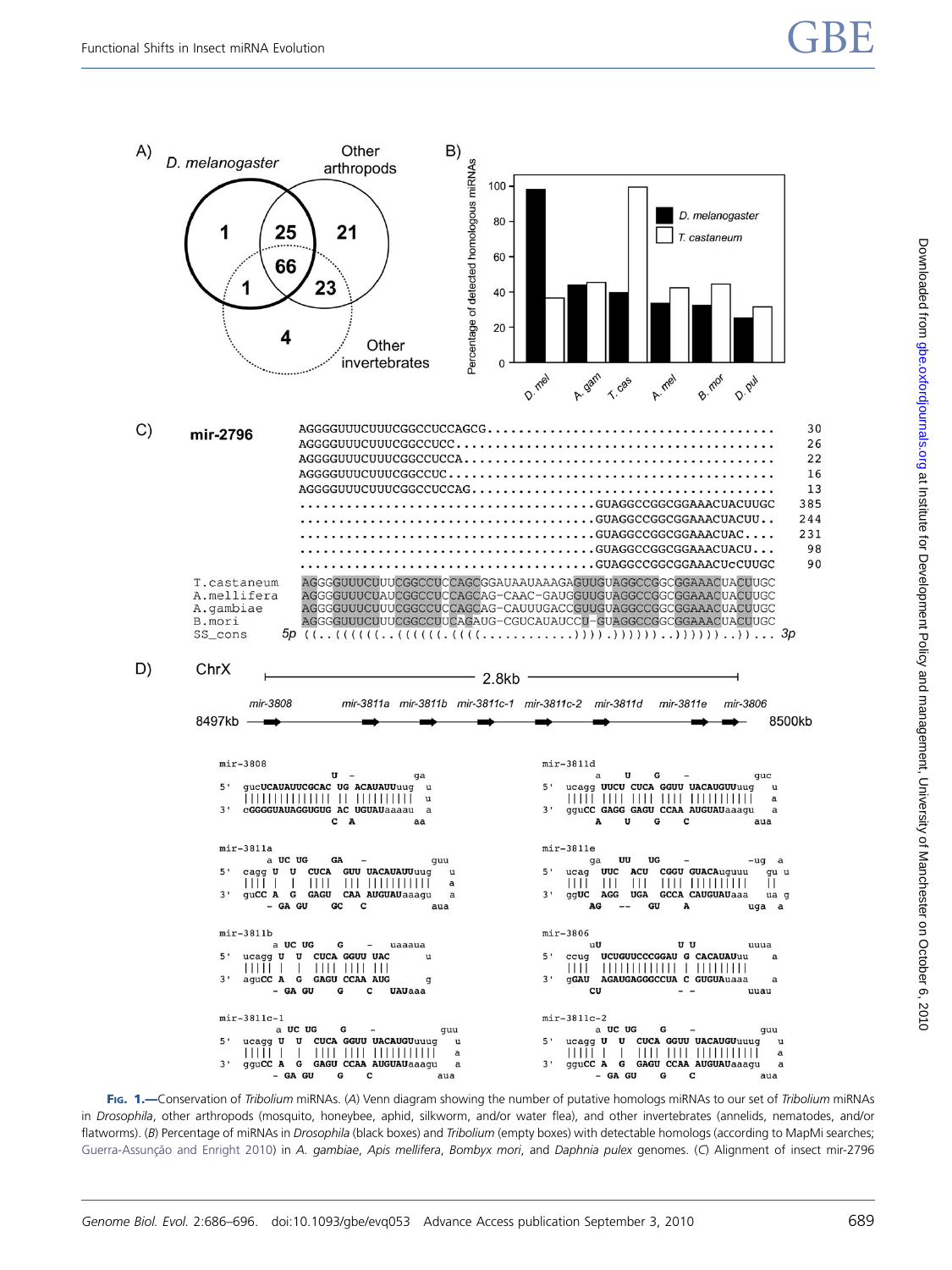<span id="page-3-0"></span>

FIG. 1.—Conservation of Tribolium miRNAs. (A) Venn diagram showing the number of putative homologs miRNAs to our set of Tribolium miRNAs in Drosophila, other arthropods (mosquito, honeybee, aphid, silkworm, and/or water flea), and other invertebrates (annelids, nematodes, and/or flatworms). (B) Percentage of miRNAs in Drosophila (black boxes) and Tribolium (empty boxes) with detectable homologs (according to MapMi searches; [Guerra-Assun](#page-9-0)çã[o and Enright 2010\)](#page-9-0) in A. gambiae, Apis mellifera, Bombyx mori, and Daphnia pulex genomes. (C) Alignment of insect mir-2796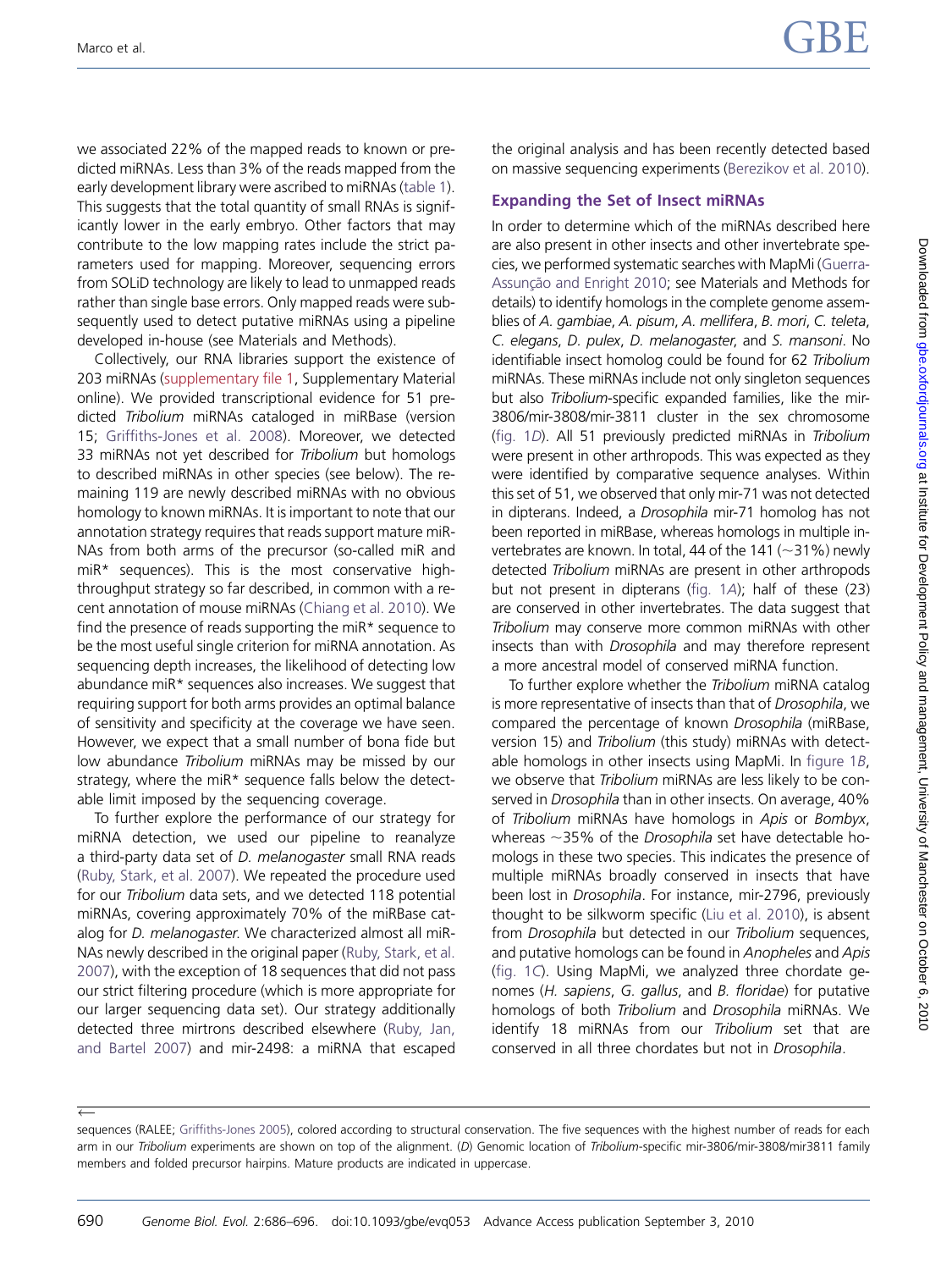we associated 22% of the mapped reads to known or predicted miRNAs. Less than 3% of the reads mapped from the early development library were ascribed to miRNAs ([table 1\)](#page-2-0). This suggests that the total quantity of small RNAs is significantly lower in the early embryo. Other factors that may contribute to the low mapping rates include the strict parameters used for mapping. Moreover, sequencing errors from SOLiD technology are likely to lead to unmapped reads rather than single base errors. Only mapped reads were subsequently used to detect putative miRNAs using a pipeline developed in-house (see Materials and Methods).

Collectively, our RNA libraries support the existence of 203 miRNAs ([supplementary file 1](http://gbe.oxfordjournals.org/cgi/content/full/evq053/DC1), Supplementary Material online). We provided transcriptional evidence for 51 predicted Tribolium miRNAs cataloged in miRBase (version 15; [Griffiths-Jones et al. 2008\)](#page-9-0). Moreover, we detected 33 miRNAs not yet described for Tribolium but homologs to described miRNAs in other species (see below). The remaining 119 are newly described miRNAs with no obvious homology to known miRNAs. It is important to note that our annotation strategy requires that reads support mature miR-NAs from both arms of the precursor (so-called miR and miR\* sequences). This is the most conservative highthroughput strategy so far described, in common with a recent annotation of mouse miRNAs ([Chiang et al. 2010\)](#page-9-0). We find the presence of reads supporting the miR\* sequence to be the most useful single criterion for miRNA annotation. As sequencing depth increases, the likelihood of detecting low abundance miR\* sequences also increases. We suggest that requiring support for both arms provides an optimal balance of sensitivity and specificity at the coverage we have seen. However, we expect that a small number of bona fide but low abundance Tribolium miRNAs may be missed by our strategy, where the miR\* sequence falls below the detectable limit imposed by the sequencing coverage.

To further explore the performance of our strategy for miRNA detection, we used our pipeline to reanalyze a third-party data set of D. melanogaster small RNA reads ([Ruby, Stark, et al. 2007\)](#page-9-0). We repeated the procedure used for our Tribolium data sets, and we detected 118 potential miRNAs, covering approximately 70% of the miRBase catalog for D. melanogaster. We characterized almost all miR-NAs newly described in the original paper ([Ruby, Stark, et al.](#page-9-0) [2007](#page-9-0)), with the exception of 18 sequences that did not pass our strict filtering procedure (which is more appropriate for our larger sequencing data set). Our strategy additionally detected three mirtrons described elsewhere ([Ruby, Jan,](#page-9-0) [and Bartel 2007](#page-9-0)) and mir-2498: a miRNA that escaped

 $\leftarrow$ 

the original analysis and has been recently detected based on massive sequencing experiments [\(Berezikov et al. 2010\)](#page-9-0).

#### Expanding the Set of Insect miRNAs

In order to determine which of the miRNAs described here are also present in other insects and other invertebrate species, we performed systematic searches with MapMi ([Guerra-](#page-9-0)[Assun](#page-9-0)ção and Enright 2010; see Materials and Methods for details) to identify homologs in the complete genome assemblies of A. gambiae, A. pisum, A. mellifera, B. mori, C. teleta, C. elegans, D. pulex, D. melanogaster, and S. mansoni. No identifiable insect homolog could be found for 62 Tribolium miRNAs. These miRNAs include not only singleton sequences but also Tribolium-specific expanded families, like the mir-3806/mir-3808/mir-3811 cluster in the sex chromosome [\(fig. 1](#page-3-0)D). All 51 previously predicted miRNAs in Tribolium were present in other arthropods. This was expected as they were identified by comparative sequence analyses. Within this set of 51, we observed that only mir-71 was not detected in dipterans. Indeed, a Drosophila mir-71 homolog has not been reported in miRBase, whereas homologs in multiple invertebrates are known. In total, 44 of the 141 ( $\sim$ 31%) newly detected Tribolium miRNAs are present in other arthropods but not present in dipterans [\(fig. 1](#page-3-0)A); half of these (23) are conserved in other invertebrates. The data suggest that Tribolium may conserve more common miRNAs with other insects than with Drosophila and may therefore represent a more ancestral model of conserved miRNA function.

To further explore whether the Tribolium miRNA catalog is more representative of insects than that of Drosophila, we compared the percentage of known Drosophila (miRBase, version 15) and Tribolium (this study) miRNAs with detectable homologs in other insects using MapMi. In [figure 1](#page-3-0)B, we observe that Tribolium miRNAs are less likely to be conserved in Drosophila than in other insects. On average, 40% of Tribolium miRNAs have homologs in Apis or Bombyx, whereas  $\sim$ 35% of the Drosophila set have detectable homologs in these two species. This indicates the presence of multiple miRNAs broadly conserved in insects that have been lost in Drosophila. For instance, mir-2796, previously thought to be silkworm specific ([Liu et al. 2010](#page-9-0)), is absent from Drosophila but detected in our Tribolium sequences, and putative homologs can be found in Anopheles and Apis [\(fig. 1](#page-3-0)C). Using MapMi, we analyzed three chordate genomes (H. sapiens, G. gallus, and B. floridae) for putative homologs of both Tribolium and Drosophila miRNAs. We identify 18 miRNAs from our Tribolium set that are conserved in all three chordates but not in Drosophila.

sequences (RALEE; [Griffiths-Jones 2005](#page-9-0)), colored according to structural conservation. The five sequences with the highest number of reads for each arm in our Tribolium experiments are shown on top of the alignment. (D) Genomic location of Tribolium-specific mir-3806/mir-3808/mir3811 family members and folded precursor hairpins. Mature products are indicated in uppercase.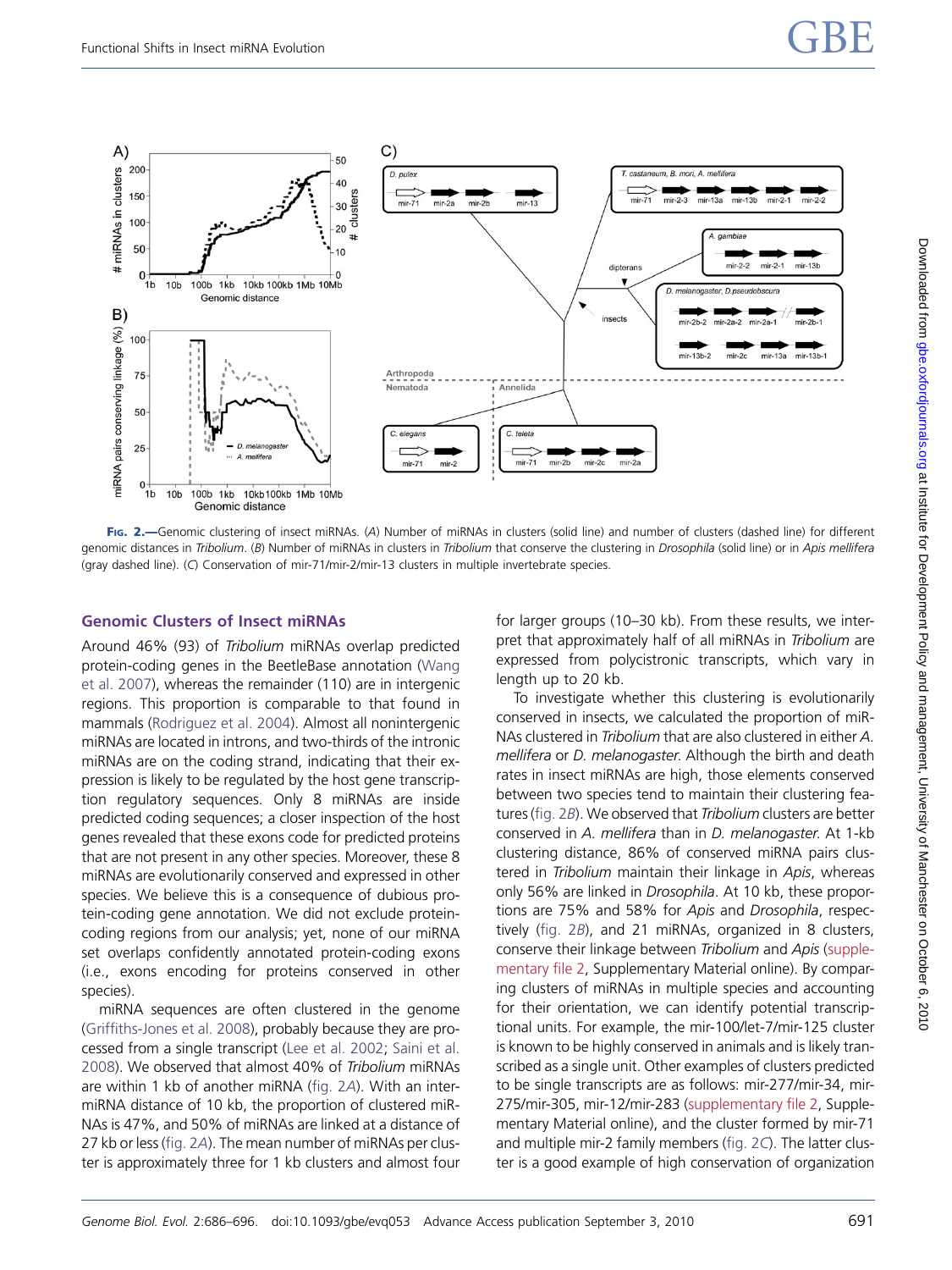<span id="page-5-0"></span>

FIG. 2.—Genomic clustering of insect miRNAs. (A) Number of miRNAs in clusters (solid line) and number of clusters (dashed line) for different genomic distances in Tribolium. (B) Number of miRNAs in clusters in Tribolium that conserve the clustering in Drosophila (solid line) or in Apis mellifera (gray dashed line). (C) Conservation of mir-71/mir-2/mir-13 clusters in multiple invertebrate species.

#### Genomic Clusters of Insect miRNAs

Around 46% (93) of Tribolium miRNAs overlap predicted protein-coding genes in the BeetleBase annotation ([Wang](#page-10-0) [et al. 2007\)](#page-10-0), whereas the remainder (110) are in intergenic regions. This proportion is comparable to that found in mammals [\(Rodriguez et al. 2004\)](#page-9-0). Almost all nonintergenic miRNAs are located in introns, and two-thirds of the intronic miRNAs are on the coding strand, indicating that their expression is likely to be regulated by the host gene transcription regulatory sequences. Only 8 miRNAs are inside predicted coding sequences; a closer inspection of the host genes revealed that these exons code for predicted proteins that are not present in any other species. Moreover, these 8 miRNAs are evolutionarily conserved and expressed in other species. We believe this is a consequence of dubious protein-coding gene annotation. We did not exclude proteincoding regions from our analysis; yet, none of our miRNA set overlaps confidently annotated protein-coding exons (i.e., exons encoding for proteins conserved in other species).

miRNA sequences are often clustered in the genome ([Griffiths-Jones et al. 2008\)](#page-9-0), probably because they are processed from a single transcript [\(Lee et al. 2002](#page-9-0); [Saini et al.](#page-9-0) [2008\)](#page-9-0). We observed that almost 40% of Tribolium miRNAs are within 1 kb of another miRNA (fig. 2A). With an intermiRNA distance of 10 kb, the proportion of clustered miR-NAs is 47%, and 50% of miRNAs are linked at a distance of 27 kb or less (fig. 2A). The mean number of miRNAs per cluster is approximately three for 1 kb clusters and almost four

for larger groups (10–30 kb). From these results, we interpret that approximately half of all miRNAs in Tribolium are expressed from polycistronic transcripts, which vary in length up to 20 kb.

To investigate whether this clustering is evolutionarily conserved in insects, we calculated the proportion of miR-NAs clustered in Tribolium that are also clustered in either A. mellifera or D. melanogaster. Although the birth and death rates in insect miRNAs are high, those elements conserved between two species tend to maintain their clustering features (fig. 2B). We observed that Tribolium clusters are better conserved in A. mellifera than in D. melanogaster. At 1-kb clustering distance, 86% of conserved miRNA pairs clustered in Tribolium maintain their linkage in Apis, whereas only 56% are linked in Drosophila. At 10 kb, these proportions are 75% and 58% for Apis and Drosophila, respectively (fig. 2B), and 21 miRNAs, organized in 8 clusters, conserve their linkage between Tribolium and Apis ([supple](http://gbe.oxfordjournals.org/cgi/content/full/evq053/DC1)[mentary file 2,](http://gbe.oxfordjournals.org/cgi/content/full/evq053/DC1) Supplementary Material online). By comparing clusters of miRNAs in multiple species and accounting for their orientation, we can identify potential transcriptional units. For example, the mir-100/let-7/mir-125 cluster is known to be highly conserved in animals and is likely transcribed as a single unit. Other examples of clusters predicted to be single transcripts are as follows: mir-277/mir-34, mir-275/mir-305, mir-12/mir-283 ([supplementary file 2,](http://gbe.oxfordjournals.org/cgi/content/full/evq053/DC1) Supplementary Material online), and the cluster formed by mir-71 and multiple mir-2 family members (fig. 2C). The latter cluster is a good example of high conservation of organization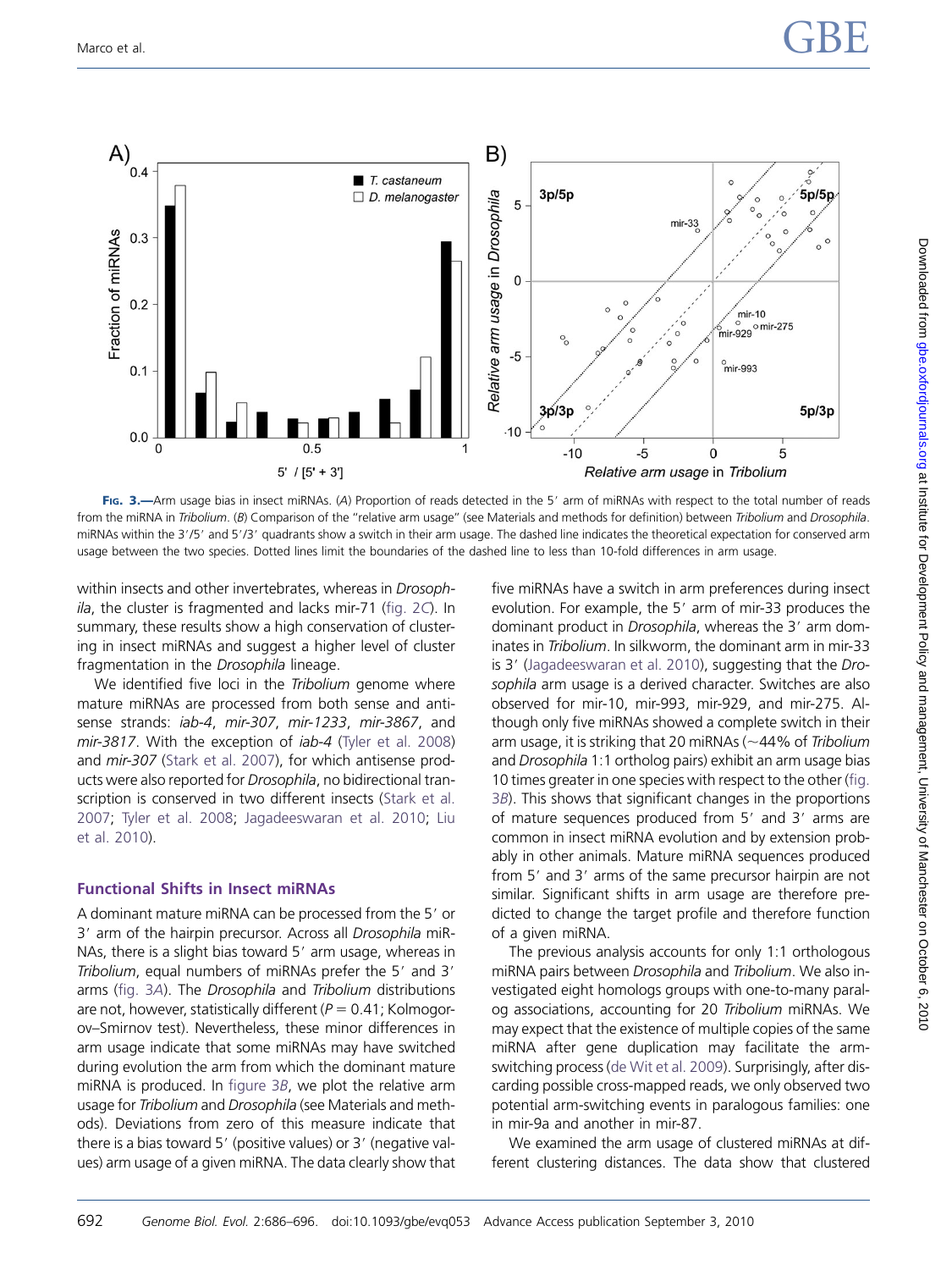

FIG. 3.—Arm usage bias in insect miRNAs. (A) Proportion of reads detected in the 5' arm of miRNAs with respect to the total number of reads from the miRNA in Tribolium. (B) Comparison of the "relative arm usage" (see Materials and methods for definition) between Tribolium and Drosophila. miRNAs within the 3'/5' and 5'/3' quadrants show a switch in their arm usage. The dashed line indicates the theoretical expectation for conserved arm usage between the two species. Dotted lines limit the boundaries of the dashed line to less than 10-fold differences in arm usage.

within insects and other invertebrates, whereas in *Drosoph* $i$ la, the cluster is fragmented and lacks mir-71 ([fig. 2](#page-5-0)C). In summary, these results show a high conservation of clustering in insect miRNAs and suggest a higher level of cluster fragmentation in the Drosophila lineage.

We identified five loci in the Tribolium genome where mature miRNAs are processed from both sense and antisense strands: iab-4, mir-307, mir-1233, mir-3867, and mir-3817. With the exception of *iab-4* [\(Tyler et al. 2008](#page-10-0)) and mir-307 ([Stark et al. 2007](#page-10-0)), for which antisense products were also reported for Drosophila, no bidirectional transcription is conserved in two different insects ([Stark et al.](#page-10-0) [2007](#page-10-0); [Tyler et al. 2008;](#page-10-0) [Jagadeeswaran et al. 2010](#page-9-0); [Liu](#page-9-0) [et al. 2010\)](#page-9-0).

#### Functional Shifts in Insect miRNAs

A dominant mature miRNA can be processed from the 5' or 3' arm of the hairpin precursor. Across all Drosophila miR-NAs, there is a slight bias toward 5' arm usage, whereas in Tribolium, equal numbers of miRNAs prefer the 5' and 3' arms (fig. 3A). The Drosophila and Tribolium distributions are not, however, statistically different ( $P = 0.41$ ; Kolmogorov–Smirnov test). Nevertheless, these minor differences in arm usage indicate that some miRNAs may have switched during evolution the arm from which the dominant mature miRNA is produced. In figure 3B, we plot the relative arm usage for Tribolium and Drosophila (see Materials and methods). Deviations from zero of this measure indicate that there is a bias toward 5' (positive values) or 3' (negative values) arm usage of a given miRNA. The data clearly show that

five miRNAs have a switch in arm preferences during insect evolution. For example, the 5' arm of mir-33 produces the dominant product in Drosophila, whereas the 3' arm dominates in Tribolium. In silkworm, the dominant arm in mir-33 is 3' [\(Jagadeeswaran et al. 2010\)](#page-9-0), suggesting that the Drosophila arm usage is a derived character. Switches are also observed for mir-10, mir-993, mir-929, and mir-275. Although only five miRNAs showed a complete switch in their arm usage, it is striking that 20 miRNAs ( $\sim$ 44% of Tribolium and Drosophila 1:1 ortholog pairs) exhibit an arm usage bias 10 times greater in one species with respect to the other (fig. 3B). This shows that significant changes in the proportions of mature sequences produced from 5' and 3' arms are common in insect miRNA evolution and by extension probably in other animals. Mature miRNA sequences produced from 5' and 3' arms of the same precursor hairpin are not similar. Significant shifts in arm usage are therefore predicted to change the target profile and therefore function of a given miRNA.

The previous analysis accounts for only 1:1 orthologous miRNA pairs between Drosophila and Tribolium. We also investigated eight homologs groups with one-to-many paralog associations, accounting for 20 Tribolium miRNAs. We may expect that the existence of multiple copies of the same miRNA after gene duplication may facilitate the armswitching process [\(de Wit et al. 2009](#page-9-0)). Surprisingly, after discarding possible cross-mapped reads, we only observed two potential arm-switching events in paralogous families: one in mir-9a and another in mir-87.

We examined the arm usage of clustered miRNAs at different clustering distances. The data show that clustered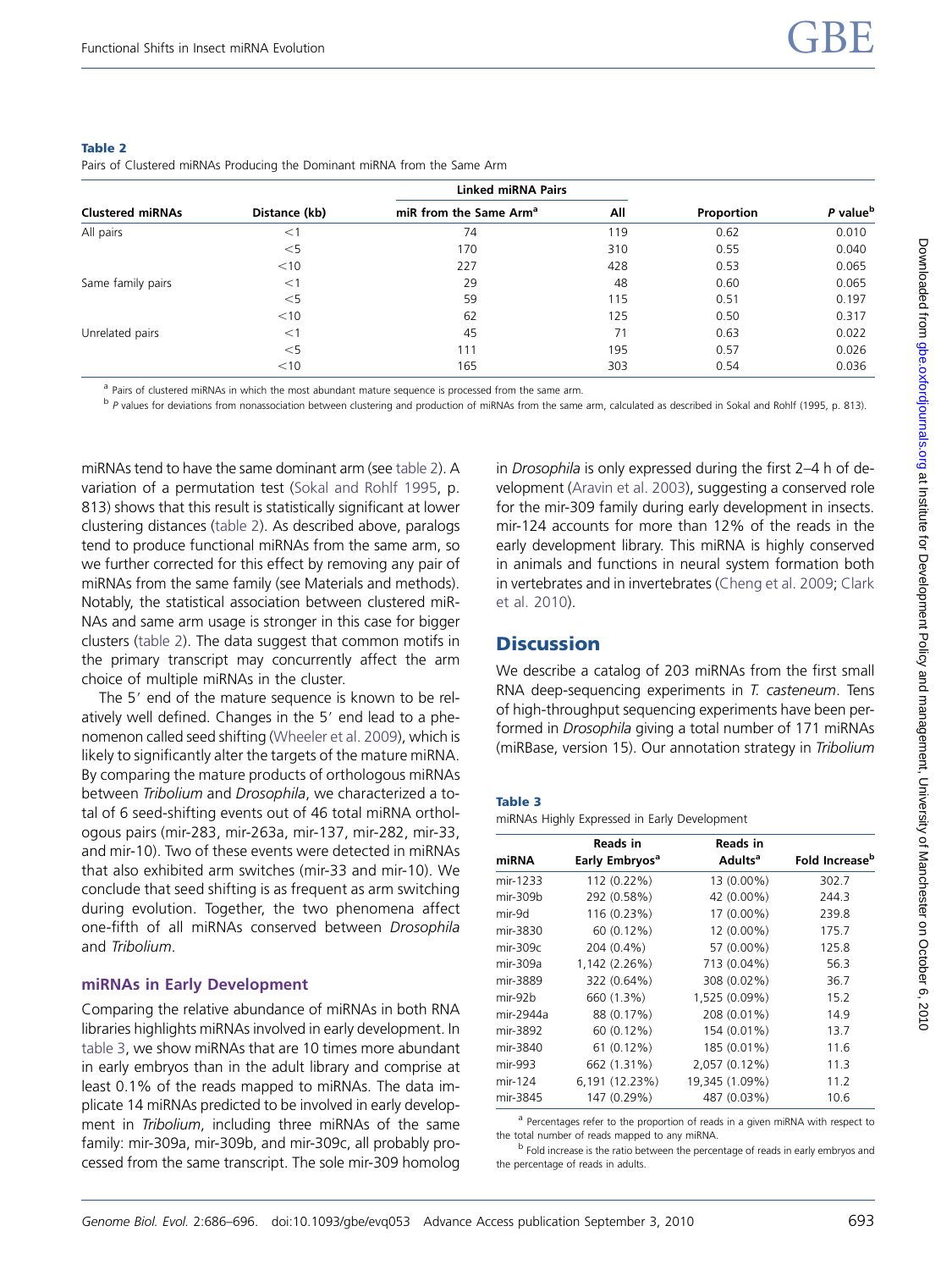|                         |               | <b>Linked miRNA Pairs</b>          |     |            |                      |
|-------------------------|---------------|------------------------------------|-----|------------|----------------------|
| <b>Clustered miRNAs</b> | Distance (kb) | miR from the Same Arm <sup>a</sup> | All | Proportion | P value <sup>b</sup> |
| All pairs               | $<$ 1         | 74                                 | 119 | 0.62       | 0.010                |
|                         | $<$ 5         | 170                                | 310 | 0.55       | 0.040                |
|                         | $<$ 10        | 227                                | 428 | 0.53       | 0.065                |
| Same family pairs       | $<$ 1         | 29                                 | 48  | 0.60       | 0.065                |
|                         | $<$ 5         | 59                                 | 115 | 0.51       | 0.197                |
|                         | $<$ 10        | 62                                 | 125 | 0.50       | 0.317                |
| Unrelated pairs         | $<$ 1         | 45                                 | 71  | 0.63       | 0.022                |
|                         | $<$ 5         | 111                                | 195 | 0.57       | 0.026                |
|                         | $<$ 10        | 165                                | 303 | 0.54       | 0.036                |

#### <span id="page-7-0"></span>Table 2

Pairs of Clustered miRNAs Producing the Dominant miRNA from the Same Arm

<sup>a</sup> Pairs of clustered miRNAs in which the most abundant mature sequence is processed from the same arm.

<sup>b</sup> P values for deviations from nonassociation between clustering and production of miRNAs from the same arm, calculated as described in Sokal and Rohlf (1995, p. 813).

miRNAs tend to have the same dominant arm (see table 2). A variation of a permutation test [\(Sokal and Rohlf 1995](#page-9-0), p. 813) shows that this result is statistically significant at lower clustering distances (table 2). As described above, paralogs tend to produce functional miRNAs from the same arm, so we further corrected for this effect by removing any pair of miRNAs from the same family (see Materials and methods). Notably, the statistical association between clustered miR-NAs and same arm usage is stronger in this case for bigger clusters (table 2). The data suggest that common motifs in the primary transcript may concurrently affect the arm choice of multiple miRNAs in the cluster.

The 5' end of the mature sequence is known to be relatively well defined. Changes in the 5' end lead to a phenomenon called seed shifting [\(Wheeler et al. 2009\)](#page-10-0), which is likely to significantly alter the targets of the mature miRNA. By comparing the mature products of orthologous miRNAs between Tribolium and Drosophila, we characterized a total of 6 seed-shifting events out of 46 total miRNA orthologous pairs (mir-283, mir-263a, mir-137, mir-282, mir-33, and mir-10). Two of these events were detected in miRNAs that also exhibited arm switches (mir-33 and mir-10). We conclude that seed shifting is as frequent as arm switching during evolution. Together, the two phenomena affect one-fifth of all miRNAs conserved between Drosophila and Tribolium.

#### miRNAs in Early Development

Comparing the relative abundance of miRNAs in both RNA libraries highlights miRNAs involved in early development. In table 3, we show miRNAs that are 10 times more abundant in early embryos than in the adult library and comprise at least 0.1% of the reads mapped to miRNAs. The data implicate 14 miRNAs predicted to be involved in early development in Tribolium, including three miRNAs of the same family: mir-309a, mir-309b, and mir-309c, all probably processed from the same transcript. The sole mir-309 homolog

in Drosophila is only expressed during the first 2–4 h of development ([Aravin et al. 2003\)](#page-9-0), suggesting a conserved role for the mir-309 family during early development in insects. mir-124 accounts for more than 12% of the reads in the early development library. This miRNA is highly conserved in animals and functions in neural system formation both in vertebrates and in invertebrates [\(Cheng et al. 2009](#page-9-0); [Clark](#page-9-0) [et al. 2010\)](#page-9-0).

## **Discussion**

We describe a catalog of 203 miRNAs from the first small RNA deep-sequencing experiments in T. casteneum. Tens of high-throughput sequencing experiments have been performed in Drosophila giving a total number of 171 miRNAs (miRBase, version 15). Our annotation strategy in Tribolium

#### Table 3

miRNAs Highly Expressed in Early Development

|           | Reads in                   | Reads in            |                            |
|-----------|----------------------------|---------------------|----------------------------|
| miRNA     | Early Embryos <sup>a</sup> | Adults <sup>a</sup> | Fold Increase <sup>b</sup> |
| mir-1233  | 112 (0.22%)                | 13 (0.00%)          | 302.7                      |
| mir-309b  | 292 (0.58%)                | 42 (0.00%)          | 244.3                      |
| mir-9d    | 116 (0.23%)                | 17 (0.00%)          | 239.8                      |
| mir-3830  | 60 (0.12%)                 | 12 (0.00%)          | 175.7                      |
| mir-309c  | 204 (0.4%)                 | 57 (0.00%)          | 125.8                      |
| mir-309a  | 1,142 (2.26%)              | 713 (0.04%)         | 56.3                       |
| mir-3889  | 322 (0.64%)                | 308 (0.02%)         | 36.7                       |
| $mir-92b$ | 660 (1.3%)                 | 1,525 (0.09%)       | 15.2                       |
| mir-2944a | 88 (0.17%)                 | 208 (0.01%)         | 14.9                       |
| mir-3892  | 60 (0.12%)                 | 154 (0.01%)         | 13.7                       |
| mir-3840  | $61(0.12\%)$               | 185 (0.01%)         | 11.6                       |
| mir-993   | 662 (1.31%)                | 2,057 (0.12%)       | 11.3                       |
| mir-124   | 6,191 (12.23%)             | 19,345 (1.09%)      | 11.2                       |
| mir-3845  | 147 (0.29%)                | 487 (0.03%)         | 10.6                       |

<sup>a</sup> Percentages refer to the proportion of reads in a given miRNA with respect to the total number of reads mapped to any miRNA.

 $<sup>b</sup>$  Fold increase is the ratio between the percentage of reads in early embryos and</sup> the percentage of reads in adults.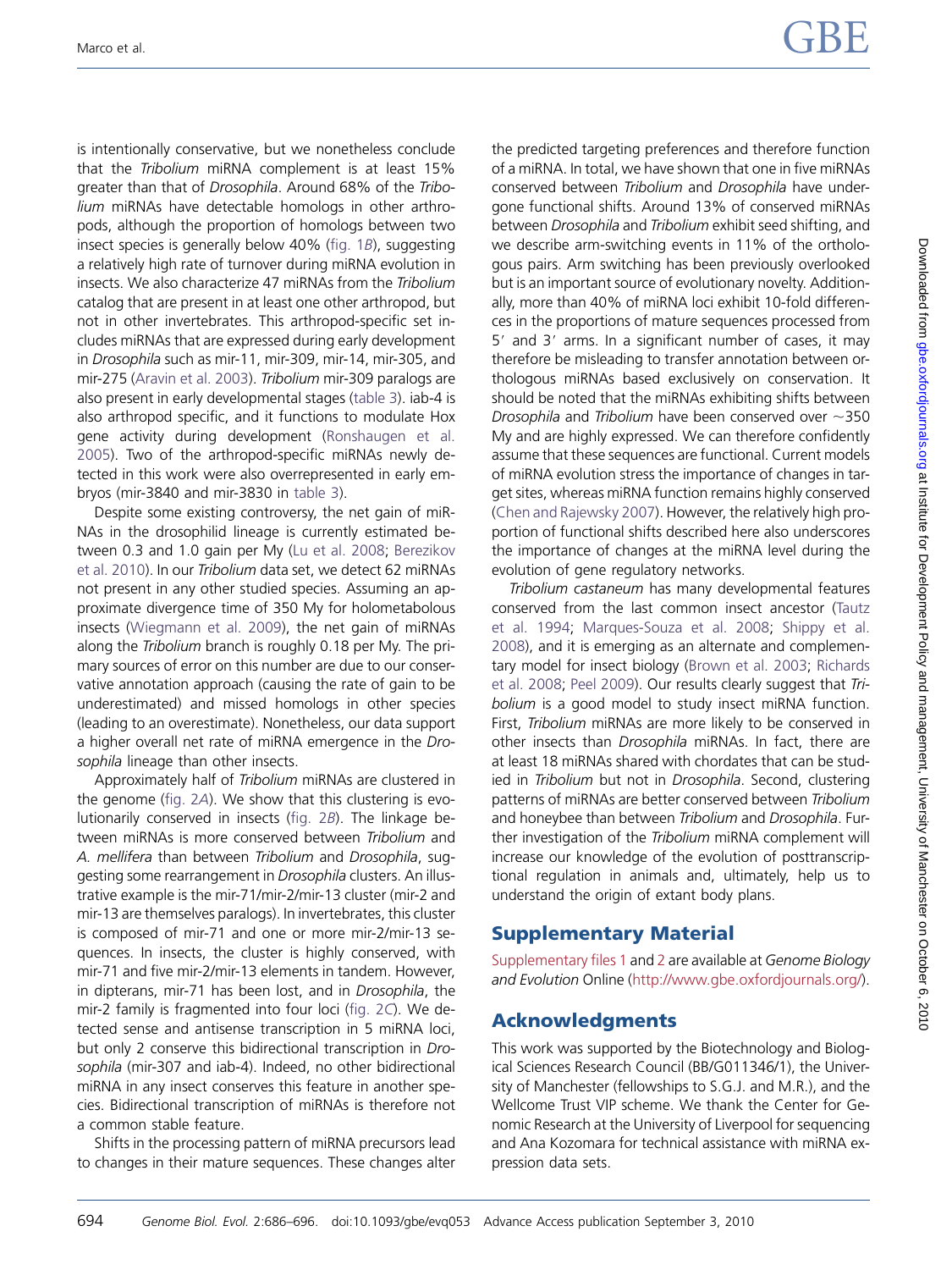is intentionally conservative, but we nonetheless conclude that the Tribolium miRNA complement is at least 15% greater than that of Drosophila. Around 68% of the Tribolium miRNAs have detectable homologs in other arthropods, although the proportion of homologs between two insect species is generally below 40% ([fig. 1](#page-3-0)B), suggesting a relatively high rate of turnover during miRNA evolution in insects. We also characterize 47 miRNAs from the Tribolium catalog that are present in at least one other arthropod, but not in other invertebrates. This arthropod-specific set includes miRNAs that are expressed during early development in Drosophila such as mir-11, mir-309, mir-14, mir-305, and mir-275 ([Aravin et al. 2003\)](#page-9-0). Tribolium mir-309 paralogs are also present in early developmental stages [\(table 3\)](#page-7-0). iab-4 is also arthropod specific, and it functions to modulate Hox gene activity during development [\(Ronshaugen et al.](#page-9-0) [2005](#page-9-0)). Two of the arthropod-specific miRNAs newly detected in this work were also overrepresented in early embryos (mir-3840 and mir-3830 in [table 3](#page-7-0)).

Despite some existing controversy, the net gain of miR-NAs in the drosophilid lineage is currently estimated between 0.3 and 1.0 gain per My [\(Lu et al. 2008;](#page-9-0) [Berezikov](#page-9-0) [et al. 2010\)](#page-9-0). In our Tribolium data set, we detect 62 miRNAs not present in any other studied species. Assuming an approximate divergence time of 350 My for holometabolous insects ([Wiegmann et al. 2009](#page-10-0)), the net gain of miRNAs along the Tribolium branch is roughly 0.18 per My. The primary sources of error on this number are due to our conservative annotation approach (causing the rate of gain to be underestimated) and missed homologs in other species (leading to an overestimate). Nonetheless, our data support a higher overall net rate of miRNA emergence in the Drosophila lineage than other insects.

Approximately half of Tribolium miRNAs are clustered in the genome [\(fig. 2](#page-5-0)A). We show that this clustering is evolutionarily conserved in insects ([fig. 2](#page-5-0)B). The linkage between miRNAs is more conserved between Tribolium and A. mellifera than between Tribolium and Drosophila, suggesting some rearrangement in Drosophila clusters. An illustrative example is the mir-71/mir-2/mir-13 cluster (mir-2 and mir-13 are themselves paralogs). In invertebrates, this cluster is composed of mir-71 and one or more mir-2/mir-13 sequences. In insects, the cluster is highly conserved, with mir-71 and five mir-2/mir-13 elements in tandem. However, in dipterans, mir-71 has been lost, and in Drosophila, the mir-2 family is fragmented into four loci ([fig. 2](#page-5-0)C). We detected sense and antisense transcription in 5 miRNA loci, but only 2 conserve this bidirectional transcription in Drosophila (mir-307 and iab-4). Indeed, no other bidirectional miRNA in any insect conserves this feature in another species. Bidirectional transcription of miRNAs is therefore not a common stable feature.

Shifts in the processing pattern of miRNA precursors lead to changes in their mature sequences. These changes alter

the predicted targeting preferences and therefore function of a miRNA. In total, we have shown that one in five miRNAs conserved between Tribolium and Drosophila have undergone functional shifts. Around 13% of conserved miRNAs between Drosophila and Tribolium exhibit seed shifting, and we describe arm-switching events in 11% of the orthologous pairs. Arm switching has been previously overlooked but is an important source of evolutionary novelty. Additionally, more than 40% of miRNA loci exhibit 10-fold differences in the proportions of mature sequences processed from  $5'$  and  $3'$  arms. In a significant number of cases, it may therefore be misleading to transfer annotation between orthologous miRNAs based exclusively on conservation. It should be noted that the miRNAs exhibiting shifts between Drosophila and Tribolium have been conserved over  $\sim$ 350 My and are highly expressed. We can therefore confidently assume that these sequences are functional. Current models of miRNA evolution stress the importance of changes in target sites, whereas miRNA function remains highly conserved [\(Chen and Rajewsky 2007\)](#page-9-0). However, the relatively high proportion of functional shifts described here also underscores the importance of changes at the miRNA level during the evolution of gene regulatory networks.

Tribolium castaneum has many developmental features conserved from the last common insect ancestor [\(Tautz](#page-10-0) [et al. 1994;](#page-10-0) [Marques-Souza et al. 2008](#page-9-0); [Shippy et al.](#page-9-0) [2008](#page-9-0)), and it is emerging as an alternate and complementary model for insect biology ([Brown et al. 2003;](#page-9-0) [Richards](#page-9-0) [et al. 2008](#page-9-0); [Peel 2009\)](#page-9-0). Our results clearly suggest that Tribolium is a good model to study insect miRNA function. First, Tribolium miRNAs are more likely to be conserved in other insects than Drosophila miRNAs. In fact, there are at least 18 miRNAs shared with chordates that can be studied in Tribolium but not in Drosophila. Second, clustering patterns of miRNAs are better conserved between Tribolium and honeybee than between Tribolium and Drosophila. Further investigation of the Tribolium miRNA complement will increase our knowledge of the evolution of posttranscriptional regulation in animals and, ultimately, help us to understand the origin of extant body plans.

# Supplementary Material

[Supplementary files 1](http://gbe.oxfordjournals.org/cgi/content/full/evq053/DC1) and [2](http://gbe.oxfordjournals.org/cgi/content/full/evq053/DC1) are available at Genome Biology and Evolution Online ([http://www.gbe.oxfordjournals.org/\)](http://www.gbe.oxfordjournals.org/).

# Acknowledgments

This work was supported by the Biotechnology and Biological Sciences Research Council (BB/G011346/1), the University of Manchester (fellowships to S.G.J. and M.R.), and the Wellcome Trust VIP scheme. We thank the Center for Genomic Research at the University of Liverpool for sequencing and Ana Kozomara for technical assistance with miRNA expression data sets.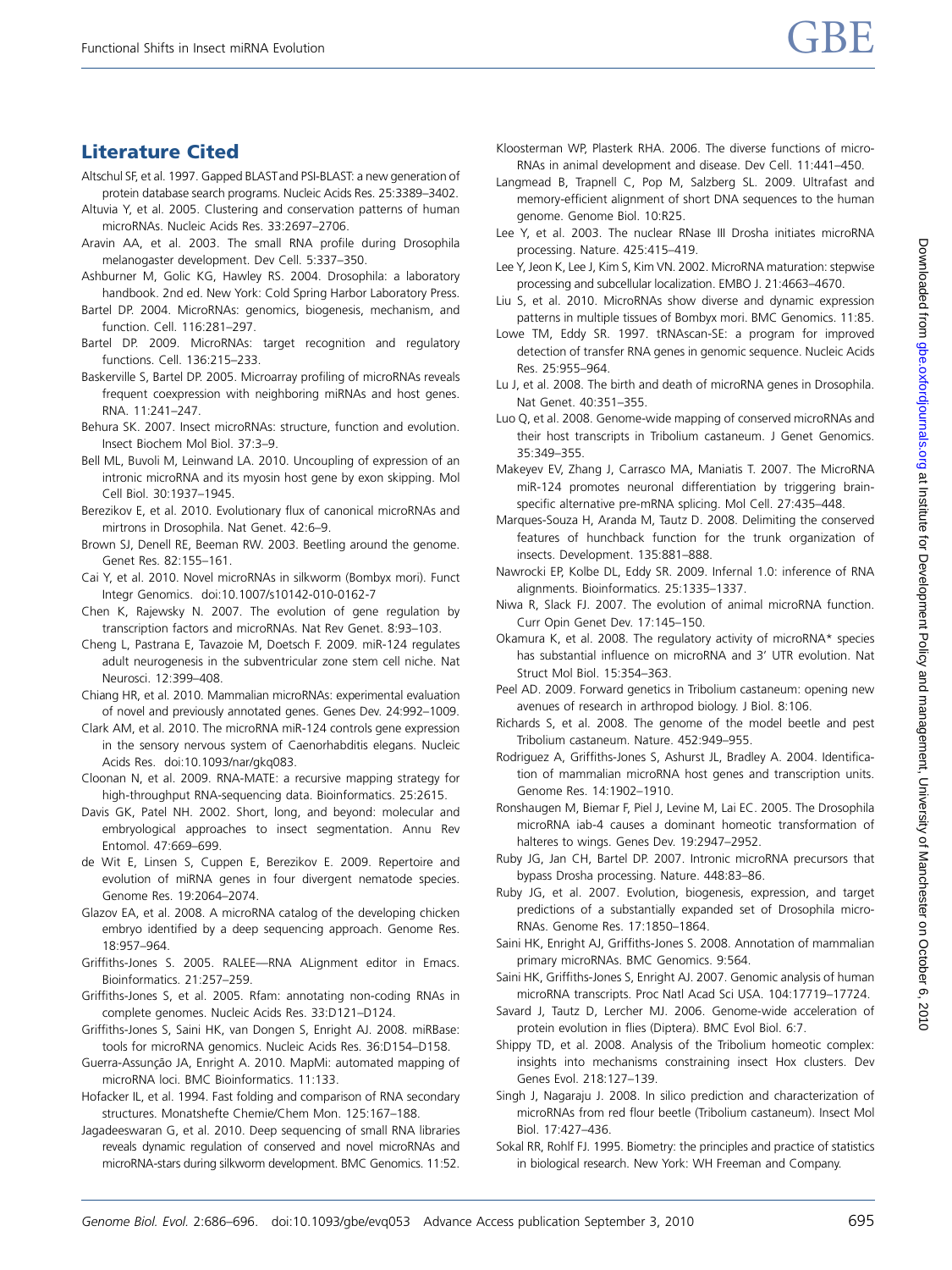# <span id="page-9-0"></span>Literature Cited

- Altschul SF, et al. 1997. Gapped BLASTand PSI-BLAST: a new generation of protein database search programs. Nucleic Acids Res. 25:3389–3402.
- Altuvia Y, et al. 2005. Clustering and conservation patterns of human microRNAs. Nucleic Acids Res. 33:2697–2706.
- Aravin AA, et al. 2003. The small RNA profile during Drosophila melanogaster development. Dev Cell. 5:337–350.
- Ashburner M, Golic KG, Hawley RS. 2004. Drosophila: a laboratory handbook. 2nd ed. New York: Cold Spring Harbor Laboratory Press.
- Bartel DP. 2004. MicroRNAs: genomics, biogenesis, mechanism, and function. Cell. 116:281–297.
- Bartel DP. 2009. MicroRNAs: target recognition and regulatory functions. Cell. 136:215–233.
- Baskerville S, Bartel DP. 2005. Microarray profiling of microRNAs reveals frequent coexpression with neighboring miRNAs and host genes. RNA. 11:241–247.
- Behura SK. 2007. Insect microRNAs: structure, function and evolution. Insect Biochem Mol Biol. 37:3–9.
- Bell ML, Buvoli M, Leinwand LA. 2010. Uncoupling of expression of an intronic microRNA and its myosin host gene by exon skipping. Mol Cell Biol. 30:1937–1945.
- Berezikov E, et al. 2010. Evolutionary flux of canonical microRNAs and mirtrons in Drosophila. Nat Genet. 42:6–9.
- Brown SJ, Denell RE, Beeman RW. 2003. Beetling around the genome. Genet Res. 82:155–161.
- Cai Y, et al. 2010. Novel microRNAs in silkworm (Bombyx mori). Funct Integr Genomics. doi:10.1007/s10142-010-0162-7
- Chen K, Rajewsky N. 2007. The evolution of gene regulation by transcription factors and microRNAs. Nat Rev Genet. 8:93–103.
- Cheng L, Pastrana E, Tavazoie M, Doetsch F. 2009. miR-124 regulates adult neurogenesis in the subventricular zone stem cell niche. Nat Neurosci. 12:399–408.
- Chiang HR, et al. 2010. Mammalian microRNAs: experimental evaluation of novel and previously annotated genes. Genes Dev. 24:992–1009.
- Clark AM, et al. 2010. The microRNA miR-124 controls gene expression in the sensory nervous system of Caenorhabditis elegans. Nucleic Acids Res. doi:10.1093/nar/gkq083.
- Cloonan N, et al. 2009. RNA-MATE: a recursive mapping strategy for high-throughput RNA-sequencing data. Bioinformatics. 25:2615.
- Davis GK, Patel NH. 2002. Short, long, and beyond: molecular and embryological approaches to insect segmentation. Annu Rev Entomol. 47:669–699.
- de Wit E, Linsen S, Cuppen E, Berezikov E. 2009. Repertoire and evolution of miRNA genes in four divergent nematode species. Genome Res. 19:2064–2074.
- Glazov EA, et al. 2008. A microRNA catalog of the developing chicken embryo identified by a deep sequencing approach. Genome Res. 18:957–964.
- Griffiths-Jones S. 2005. RALEE—RNA ALignment editor in Emacs. Bioinformatics. 21:257–259.
- Griffiths-Jones S, et al. 2005. Rfam: annotating non-coding RNAs in complete genomes. Nucleic Acids Res. 33:D121–D124.
- Griffiths-Jones S, Saini HK, van Dongen S, Enright AJ. 2008. miRBase: tools for microRNA genomics. Nucleic Acids Res. 36:D154–D158.
- Guerra-Assunção JA, Enright A. 2010. MapMi: automated mapping of microRNA loci. BMC Bioinformatics. 11:133.
- Hofacker IL, et al. 1994. Fast folding and comparison of RNA secondary structures. Monatshefte Chemie/Chem Mon. 125:167–188.
- Jagadeeswaran G, et al. 2010. Deep sequencing of small RNA libraries reveals dynamic regulation of conserved and novel microRNAs and microRNA-stars during silkworm development. BMC Genomics. 11:52.
- Kloosterman WP, Plasterk RHA. 2006. The diverse functions of micro-RNAs in animal development and disease. Dev Cell. 11:441–450.
- Langmead B, Trapnell C, Pop M, Salzberg SL. 2009. Ultrafast and memory-efficient alignment of short DNA sequences to the human genome. Genome Biol. 10:R25.
- Lee Y, et al. 2003. The nuclear RNase III Drosha initiates microRNA processing. Nature. 425:415–419.
- Lee Y, Jeon K, Lee J, Kim S, Kim VN. 2002. MicroRNA maturation: stepwise processing and subcellular localization. EMBO J. 21:4663–4670.
- Liu S, et al. 2010. MicroRNAs show diverse and dynamic expression patterns in multiple tissues of Bombyx mori. BMC Genomics. 11:85.
- Lowe TM, Eddy SR. 1997. tRNAscan-SE: a program for improved detection of transfer RNA genes in genomic sequence. Nucleic Acids Res. 25:955–964.
- Lu J, et al. 2008. The birth and death of microRNA genes in Drosophila. Nat Genet. 40:351–355.
- Luo Q, et al. 2008. Genome-wide mapping of conserved microRNAs and their host transcripts in Tribolium castaneum. J Genet Genomics. 35:349–355.
- Makeyev EV, Zhang J, Carrasco MA, Maniatis T. 2007. The MicroRNA miR-124 promotes neuronal differentiation by triggering brainspecific alternative pre-mRNA splicing. Mol Cell. 27:435–448.
- Marques-Souza H, Aranda M, Tautz D. 2008. Delimiting the conserved features of hunchback function for the trunk organization of insects. Development. 135:881–888.
- Nawrocki EP, Kolbe DL, Eddy SR. 2009. Infernal 1.0: inference of RNA alignments. Bioinformatics. 25:1335–1337.
- Niwa R, Slack FJ. 2007. The evolution of animal microRNA function. Curr Opin Genet Dev. 17:145–150.
- Okamura K, et al. 2008. The regulatory activity of microRNA\* species has substantial influence on microRNA and 3' UTR evolution. Nat Struct Mol Biol. 15:354–363.
- Peel AD. 2009. Forward genetics in Tribolium castaneum: opening new avenues of research in arthropod biology. J Biol. 8:106.
- Richards S, et al. 2008. The genome of the model beetle and pest Tribolium castaneum. Nature. 452:949–955.
- Rodriguez A, Griffiths-Jones S, Ashurst JL, Bradley A. 2004. Identification of mammalian microRNA host genes and transcription units. Genome Res. 14:1902–1910.
- Ronshaugen M, Biemar F, Piel J, Levine M, Lai EC. 2005. The Drosophila microRNA iab-4 causes a dominant homeotic transformation of halteres to wings. Genes Dev. 19:2947–2952.
- Ruby JG, Jan CH, Bartel DP. 2007. Intronic microRNA precursors that bypass Drosha processing. Nature. 448:83–86.
- Ruby JG, et al. 2007. Evolution, biogenesis, expression, and target predictions of a substantially expanded set of Drosophila micro-RNAs. Genome Res. 17:1850–1864.
- Saini HK, Enright AJ, Griffiths-Jones S. 2008. Annotation of mammalian primary microRNAs. BMC Genomics. 9:564.
- Saini HK, Griffiths-Jones S, Enright AJ. 2007. Genomic analysis of human microRNA transcripts. Proc Natl Acad Sci USA. 104:17719–17724.
- Savard J, Tautz D, Lercher MJ. 2006. Genome-wide acceleration of protein evolution in flies (Diptera). BMC Evol Biol. 6:7.
- Shippy TD, et al. 2008. Analysis of the Tribolium homeotic complex: insights into mechanisms constraining insect Hox clusters. Dev Genes Evol. 218:127–139.
- Singh J, Nagaraju J. 2008. In silico prediction and characterization of microRNAs from red flour beetle (Tribolium castaneum). Insect Mol Biol. 17:427–436.
- Sokal RR, Rohlf FJ. 1995. Biometry: the principles and practice of statistics in biological research. New York: WH Freeman and Company.